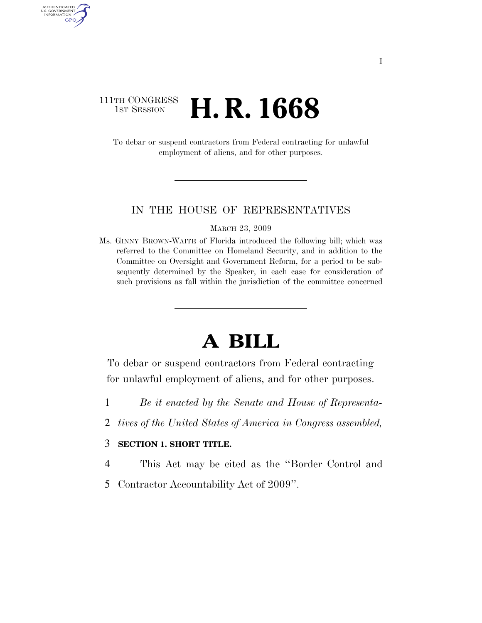### 111TH CONGRESS **1st Session H. R. 1668**

AUTHENTICATED U.S. GOVERNMENT GPO

> To debar or suspend contractors from Federal contracting for unlawful employment of aliens, and for other purposes.

#### IN THE HOUSE OF REPRESENTATIVES

MARCH 23, 2009

Ms. GINNY BROWN-WAITE of Florida introduced the following bill; which was referred to the Committee on Homeland Security, and in addition to the Committee on Oversight and Government Reform, for a period to be subsequently determined by the Speaker, in each case for consideration of such provisions as fall within the jurisdiction of the committee concerned

# **A BILL**

To debar or suspend contractors from Federal contracting for unlawful employment of aliens, and for other purposes.

- 1 *Be it enacted by the Senate and House of Representa-*
- 2 *tives of the United States of America in Congress assembled,*

#### 3 **SECTION 1. SHORT TITLE.**

- 4 This Act may be cited as the ''Border Control and
- 5 Contractor Accountability Act of 2009''.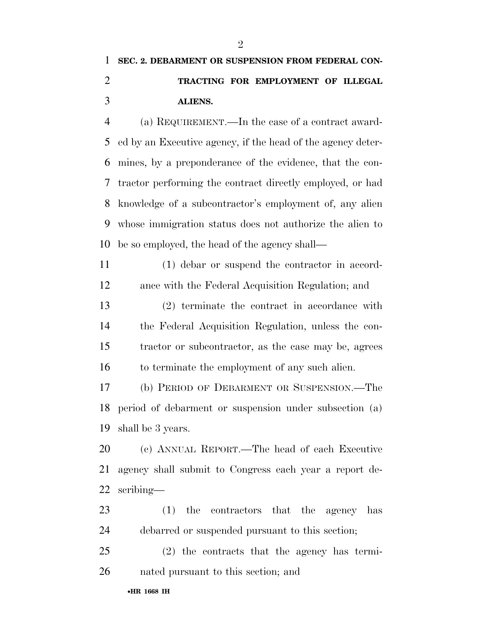## **SEC. 2. DEBARMENT OR SUSPENSION FROM FEDERAL CON- TRACTING FOR EMPLOYMENT OF ILLEGAL ALIENS.**

 (a) REQUIREMENT.—In the case of a contract award- ed by an Executive agency, if the head of the agency deter- mines, by a preponderance of the evidence, that the con- tractor performing the contract directly employed, or had knowledge of a subcontractor's employment of, any alien whose immigration status does not authorize the alien to be so employed, the head of the agency shall—

 (1) debar or suspend the contractor in accord-ance with the Federal Acquisition Regulation; and

 (2) terminate the contract in accordance with the Federal Acquisition Regulation, unless the con- tractor or subcontractor, as the case may be, agrees 16 to terminate the employment of any such alien.

 (b) PERIOD OF DEBARMENT OR SUSPENSION.—The period of debarment or suspension under subsection (a) shall be 3 years.

 (c) ANNUAL REPORT.—The head of each Executive agency shall submit to Congress each year a report de-scribing—

 (1) the contractors that the agency has debarred or suspended pursuant to this section;

 (2) the contracts that the agency has termi-nated pursuant to this section; and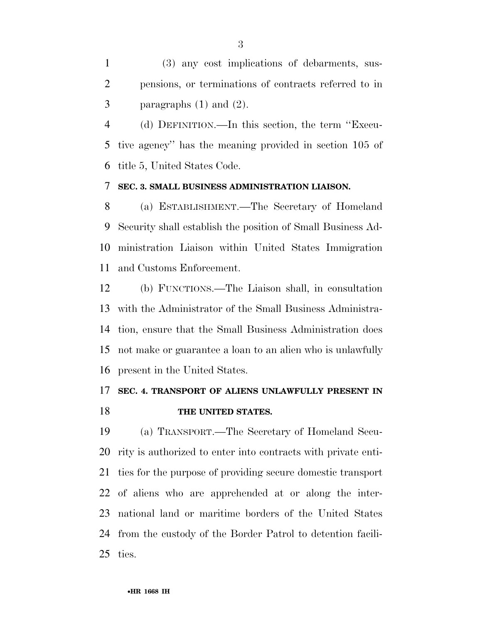(3) any cost implications of debarments, sus- pensions, or terminations of contracts referred to in 3 paragraphs  $(1)$  and  $(2)$ .

 (d) DEFINITION.—In this section, the term ''Execu- tive agency'' has the meaning provided in section 105 of title 5, United States Code.

#### **SEC. 3. SMALL BUSINESS ADMINISTRATION LIAISON.**

 (a) ESTABLISHMENT.—The Secretary of Homeland Security shall establish the position of Small Business Ad- ministration Liaison within United States Immigration and Customs Enforcement.

 (b) FUNCTIONS.—The Liaison shall, in consultation with the Administrator of the Small Business Administra- tion, ensure that the Small Business Administration does not make or guarantee a loan to an alien who is unlawfully present in the United States.

## **SEC. 4. TRANSPORT OF ALIENS UNLAWFULLY PRESENT IN THE UNITED STATES.**

 (a) TRANSPORT.—The Secretary of Homeland Secu- rity is authorized to enter into contracts with private enti- ties for the purpose of providing secure domestic transport of aliens who are apprehended at or along the inter- national land or maritime borders of the United States from the custody of the Border Patrol to detention facili-ties.